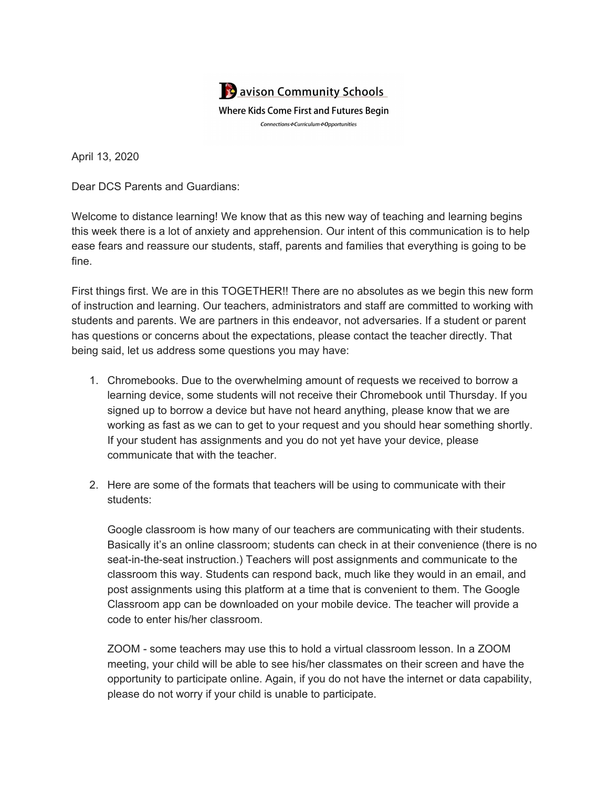

April 13, 2020

Dear DCS Parents and Guardians:

Welcome to distance learning! We know that as this new way of teaching and learning begins this week there is a lot of anxiety and apprehension. Our intent of this communication is to help ease fears and reassure our students, staff, parents and families that everything is going to be fine.

First things first. We are in this TOGETHER!! There are no absolutes as we begin this new form of instruction and learning. Our teachers, administrators and staff are committed to working with students and parents. We are partners in this endeavor, not adversaries. If a student or parent has questions or concerns about the expectations, please contact the teacher directly. That being said, let us address some questions you may have:

- 1. Chromebooks. Due to the overwhelming amount of requests we received to borrow a learning device, some students will not receive their Chromebook until Thursday. If you signed up to borrow a device but have not heard anything, please know that we are working as fast as we can to get to your request and you should hear something shortly. If your student has assignments and you do not yet have your device, please communicate that with the teacher.
- 2. Here are some of the formats that teachers will be using to communicate with their students:

Google classroom is how many of our teachers are communicating with their students. Basically it's an online classroom; students can check in at their convenience (there is no seat-in-the-seat instruction.) Teachers will post assignments and communicate to the classroom this way. Students can respond back, much like they would in an email, and post assignments using this platform at a time that is convenient to them. The Google Classroom app can be downloaded on your mobile device. The teacher will provide a code to enter his/her classroom.

ZOOM - some teachers may use this to hold a virtual classroom lesson. In a ZOOM meeting, your child will be able to see his/her classmates on their screen and have the opportunity to participate online. Again, if you do not have the internet or data capability, please do not worry if your child is unable to participate.